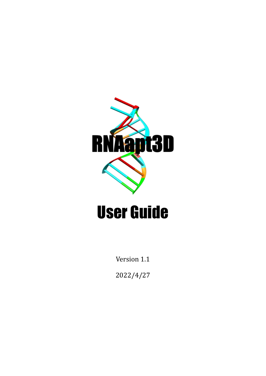

# User Guide

Version 1.1

2022/4/27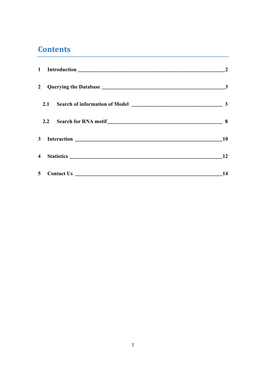# **Contents**

|                | $\mathbf{3}$ |
|----------------|--------------|
|                |              |
|                |              |
|                | <b>10</b>    |
|                | 12           |
| 5 <sup>5</sup> | 14           |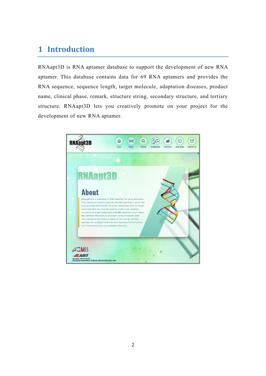# <span id="page-2-0"></span>**1 Introduction**

RNAapt3D is RNA aptamer database to support the development of new RNA aptamer. This database contains data for 69 RNA aptamers and provides the RNA sequence, sequence length, target molecule, adaptation diseases, product name, clinical phase, remark, structure string, secondary structure, and tertiary structure. RNAapt3D lets you creatively promote on your project for the development of new RNA aptamer.

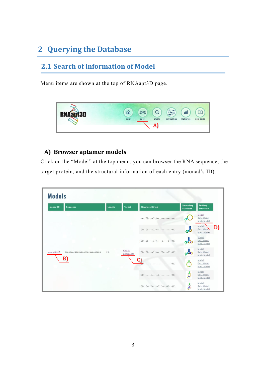# <span id="page-3-0"></span>**2 Querying the Database**

### <span id="page-3-1"></span>**2.1 Search of information of Model**

Menu items are shown at the top of RNAapt3D page.



## **A) Browser aptamer models**

Click on the "Model" at the top menu, you can browser the RNA sequence, the target protein, and the structural information of each entry (monad's ID).

|                                                  | Length | <b>Target</b>      | <b>Structure String</b>                                       | <b>Secondary</b><br><b>Structure</b> | <b>Tertiary</b><br><b>Structure</b> |
|--------------------------------------------------|--------|--------------------|---------------------------------------------------------------|--------------------------------------|-------------------------------------|
|                                                  |        |                    | $\ldots$ ((()))                                               |                                      | Model<br>Opt. Model<br>Mod. Model   |
|                                                  |        |                    | $( ( ( ( ( ( \ldots ) ) ) ) \ldots ( ( \ldots ) ) ) )$        | ්                                    | Model<br>Opt. Mode<br>Mod. Model    |
|                                                  |        |                    | $( ( ( ( ( ( \ldots ) ) ) ) \ldots ( \ldots ) \ldots ) ) ) )$ |                                      | Model<br>Opt. Model<br>Mod. Model   |
| CAGGCUACGCGUAGAGCAUCAUGAUCCUG<br>monad0015<br>B) | 29     | PDGF-<br>B(P01127) | $(((((((\ldots))))\ldots((\ldots))))))$                       |                                      | Model<br>Opt. Model<br>Mod. Model   |
|                                                  |        |                    | C)<br>$,,))$ )))                                              |                                      | Model<br>Opt. Model<br>Mod. Model   |
|                                                  |        |                    | $((((\ldots((\ldots)))\ldots\ldots)))$                        | Š                                    | Model<br>Opt. Model<br>Mod. Model   |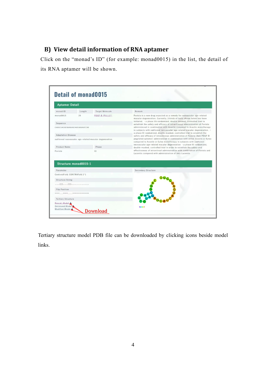#### **B) View detail information of RNA aptamer**

Click on the "monad's ID" (for example: monad0015) in the list, the detail of its RNA aptamer will be shown.

|                                                        | <b>Aptamer Detail</b> |                        |                                                                                                                                                                                                                                    |  |  |
|--------------------------------------------------------|-----------------------|------------------------|------------------------------------------------------------------------------------------------------------------------------------------------------------------------------------------------------------------------------------|--|--|
| monad ID                                               | Length                | <b>Target Molecule</b> | Remark                                                                                                                                                                                                                             |  |  |
| monad0015                                              | 29                    | PDGF-B (P01127)        | Fovista is a new drug expected as a remedy for neovascular age-related<br>macular degeneration. Currently, 3 kinds of tests shown below has been                                                                                   |  |  |
| Sequence                                               |                       |                        | initiated, . a phase IIb randomized, double-masked, controlled trial to<br>establish the safety and efficacy of intravitreous administration of Fovista                                                                            |  |  |
| CAGGCUACGCGUAGAGCAUCAUGAUCCUG                          |                       |                        | administered in combination with Avastin compared to Avastin monotherapy<br>in subjects with subfoveal neovascular age-related macular degeneration. .<br>a phase III randomized, double-masked, controlled trial to establish the |  |  |
| <b>Adaptation Disease</b>                              |                       |                        | safety and efficacy of intravitreous administration of Fovista (Anti PDGF-B                                                                                                                                                        |  |  |
| subfoveal neovascular age-related macular degeneration |                       |                        | pegylated aptamer) administered in combination with either Avastin or Eylea<br>compared to Avastin or Eylea monotherapy in subjects with subfoveal<br>neovascular age-related macular degeneration · a phase III randomized.       |  |  |
| Product Name                                           |                       | Phase                  | double-masked, controlled trial in order to establish the safety and                                                                                                                                                               |  |  |
| Fovista                                                |                       | 111                    | effectiveness of intravitreal administration with combination of Fovista and<br>Lucentis compared with administration of only Lucentis                                                                                             |  |  |
| Parameter                                              | Structure monad0015-1 |                        | Secondary Structure                                                                                                                                                                                                                |  |  |
| CentroidFold: CONTRAFold 2^1                           |                       |                        |                                                                                                                                                                                                                                    |  |  |
| <b>Structure String</b>                                |                       |                        |                                                                                                                                                                                                                                    |  |  |
|                                                        |                       |                        |                                                                                                                                                                                                                                    |  |  |
|                                                        |                       |                        |                                                                                                                                                                                                                                    |  |  |
| <b>Flip Position</b>                                   |                       |                        |                                                                                                                                                                                                                                    |  |  |
|                                                        |                       |                        |                                                                                                                                                                                                                                    |  |  |
| <b>Tertiary Structure</b>                              |                       |                        |                                                                                                                                                                                                                                    |  |  |

Tertiary structure model PDB file can be downloaded by clicking icons beside model links.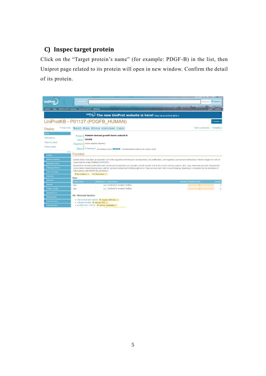#### **C) Inspec target protein**

Click on the "Target protein's name" (for example: PDGF-B) in the list, then Uniprot page related to its protein will open in new window. Confirm the detail of its protein.

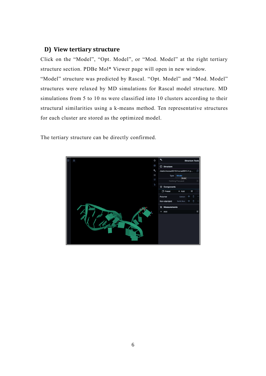#### **D) View tertiary structure**

Click on the "Model", "Opt. Model", or "Mod. Model" at the right tertiary structure section. PDBe Mol\* Viewer page will open in new window.

"Model" structure was predicted by Rascal. "Opt. Model" and "Mod. Model" structures were relaxed by MD simulations for Rascal model structure. MD simulations from 5 to 10 ns were classified into 10 clusters according to their structural similarities using a k-means method. Ten representative structures for each cluster are stored as the optimized model.

The tertiary structure can be directly confirmed.

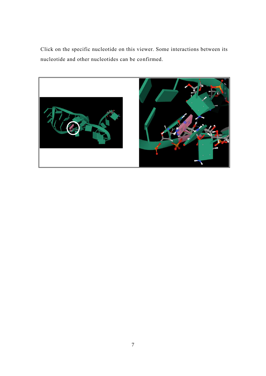Click on the specific nucleotide on this viewer. Some interactions between its nucleotide and other nucleotides can be confirmed.

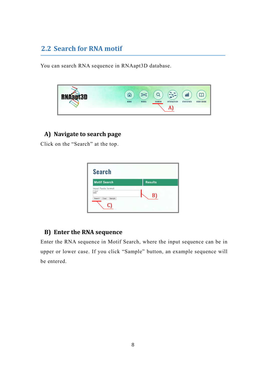## <span id="page-8-0"></span>**2.2 Search for RNA motif**

You can search RNA sequence in RNAapt3D database.



#### **A) Navigate to search page**

Click on the "Search" at the top.



#### **B) Enter the RNA sequence**

Enter the RNA sequence in Motif Search, where the input sequence can be in upper or lower case. If you click "Sample" button, an example sequence will be entered.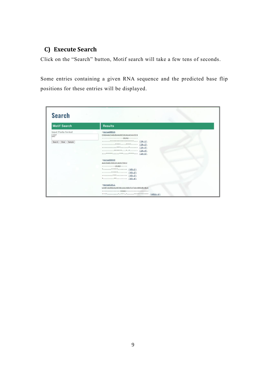#### **C) Execute Search**

Click on the "Search" button, Motif search will take a few tens of seconds.

Some entries containing a given RNA sequence and the predicted base flip positions for these entries will be displayed.

| <b>Search</b>                                                         |                                                                                                                                                          |
|-----------------------------------------------------------------------|----------------------------------------------------------------------------------------------------------------------------------------------------------|
| <b>Motif Search</b>                                                   | <b>Results</b>                                                                                                                                           |
| Input Fasta format<br>input<br><b>LEMIT</b><br>Clear Sample<br>Search | $>$ monad0024<br>CGGAAUCAGUGAAUGCUUAUACAUCCG<br>UUAU-------<br>******** (24-2)<br>**** <u>(24-3)</u><br>*******.* (24-4)<br>$\cdots$ ************ (24-5) |
|                                                                       | >monad0049<br>AAUGAGUGGUUUAUUCGUU<br>----------UUAU-----<br>$*$ ***** (49-1)<br>$\cdots \cdots \cdots \cdots \cdots \cdots \cdots (49-2)$<br>*** (49-3)  |
|                                                                       | >monad1011<br>UUGCUUGGAAUGCGUUAUAGUCUCUUAGGUGUGUA<br>--------------UUAU------------------<br>*****.***.************* (1011-1)                            |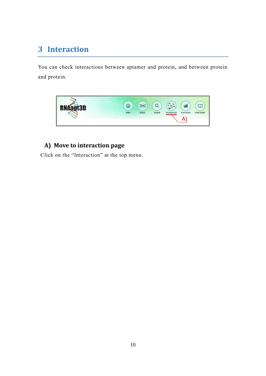# <span id="page-10-0"></span>**3 Interaction**

You can check interactions between aptamer and protein, and between protein and protein.



## **A) Move to interaction page**

Click on the "Interaction" at the top menu.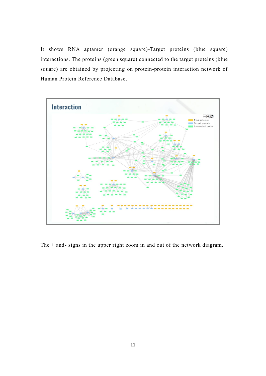It shows RNA aptamer (orange square)-Target proteins (blue square) interactions. The proteins (green square) connected to the target proteins (blue square) are obtained by projecting on protein-protein interaction network of Human Protein Reference Database.



The + and- signs in the upper right zoom in and out of the network diagram.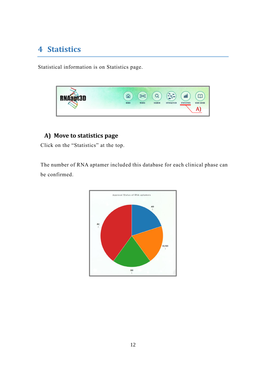# <span id="page-12-0"></span>**4 Statistics**

Statistical information is on Statistics page.



## **A) Move to statistics page**

Click on the "Statistics" at the top.

The number of RNA aptamer included this database for each clinical phase can be confirmed.

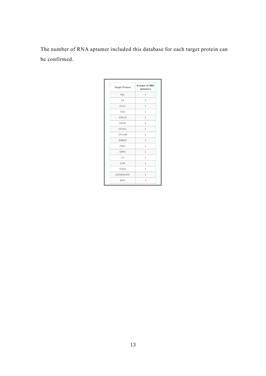The number of RNA aptamer included this database for each target protein can be confirmed.

| <b>Target Protein</b> | Number of RNA<br>aptamers |
|-----------------------|---------------------------|
| AXL                   | $\mathbf{1}$              |
| C <sub>5</sub>        | $\overline{c}$            |
| CCL <sub>2</sub>      | $\mathbf{1}$              |
| <b>CGA</b>            | $\mathbf{1}$              |
| CXCL8                 | $\mathbf{1}$              |
| <b>EGFR</b>           | $\mathbf{1}$              |
| EIF4A1                | $\overline{c}$            |
| <b>EPCAM</b>          | $1\,$                     |
| ERBB2                 | $\mathbf{1}$              |
| FGF <sub>2</sub>      | $\mathbf{1}$              |
| GRK2                  | $\overline{c}$            |
| IL <sub>6</sub>       | $\overline{c}$            |
| IL6R                  | $\mathbf{1}$              |
| <b>ITGAV</b>          | $\mathbf{1}$              |
| LOC8261245            | $\mathbf{1}$              |
| <b>MDK</b>            | $\mathbf{1}$              |
|                       |                           |